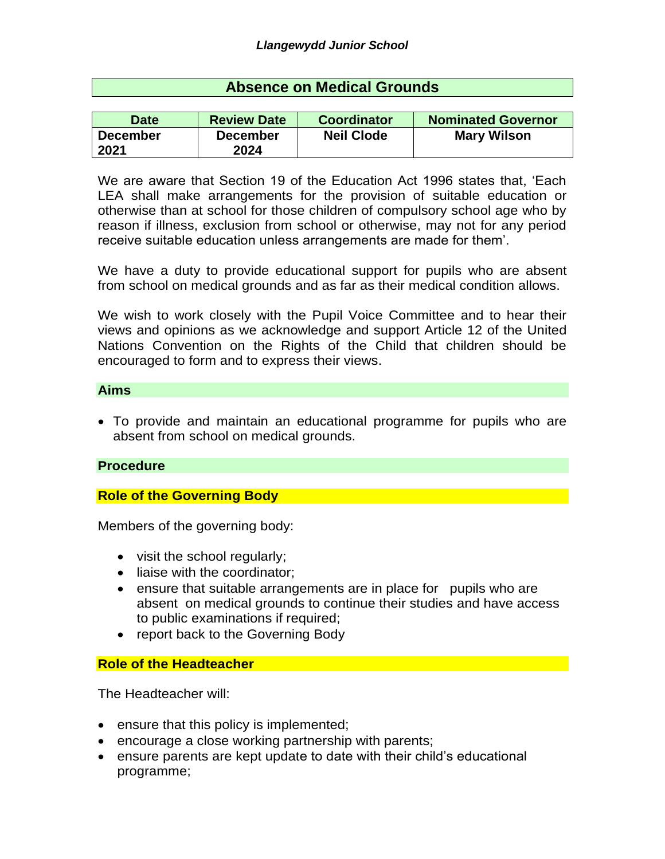## **Absence on Medical Grounds**

| Date            | <b>Review Date</b> | <b>Coordinator</b> | <b>Nominated Governor</b> |
|-----------------|--------------------|--------------------|---------------------------|
| <b>December</b> | <b>December</b>    | <b>Neil Clode</b>  | <b>Mary Wilson</b>        |
| 2021            | 2024               |                    |                           |

We are aware that Section 19 of the Education Act 1996 states that, 'Each LEA shall make arrangements for the provision of suitable education or otherwise than at school for those children of compulsory school age who by reason if illness, exclusion from school or otherwise, may not for any period receive suitable education unless arrangements are made for them'.

We have a duty to provide educational support for pupils who are absent from school on medical grounds and as far as their medical condition allows.

We wish to work closely with the Pupil Voice Committee and to hear their views and opinions as we acknowledge and support Article 12 of the United Nations Convention on the Rights of the Child that children should be encouraged to form and to express their views.

#### **Aims**

 To provide and maintain an educational programme for pupils who are absent from school on medical grounds.

#### **Procedure**

#### **Role of the Governing Body**

Members of the governing body:

- visit the school regularly;
- liaise with the coordinator:
- ensure that suitable arrangements are in place for pupils who are absent on medical grounds to continue their studies and have access to public examinations if required;
- report back to the Governing Body

#### **Role of the Headteacher**

The Headteacher will:

- ensure that this policy is implemented;
- encourage a close working partnership with parents;
- ensure parents are kept update to date with their child's educational programme;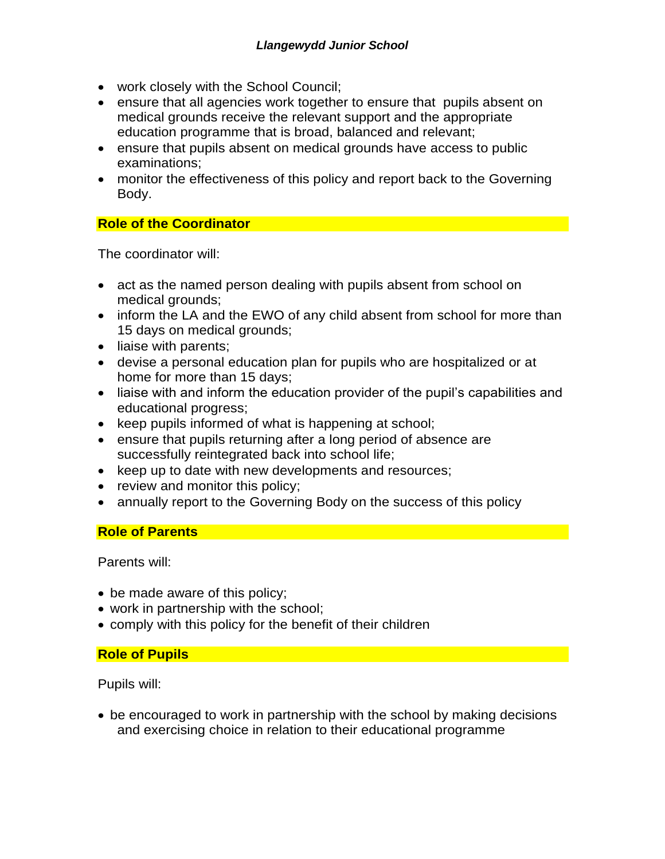- work closely with the School Council;
- ensure that all agencies work together to ensure that pupils absent on medical grounds receive the relevant support and the appropriate education programme that is broad, balanced and relevant;
- ensure that pupils absent on medical grounds have access to public examinations;
- monitor the effectiveness of this policy and report back to the Governing Body.

# **Role of the Coordinator**

The coordinator will:

- act as the named person dealing with pupils absent from school on medical grounds;
- inform the LA and the EWO of any child absent from school for more than 15 days on medical grounds;
- liaise with parents;
- devise a personal education plan for pupils who are hospitalized or at home for more than 15 days;
- liaise with and inform the education provider of the pupil's capabilities and educational progress;
- keep pupils informed of what is happening at school;
- ensure that pupils returning after a long period of absence are successfully reintegrated back into school life;
- keep up to date with new developments and resources;
- review and monitor this policy;
- annually report to the Governing Body on the success of this policy

# **Role of Parents**

Parents will:

- be made aware of this policy;
- work in partnership with the school;
- comply with this policy for the benefit of their children

# **Role of Pupils**

Pupils will:

• be encouraged to work in partnership with the school by making decisions and exercising choice in relation to their educational programme